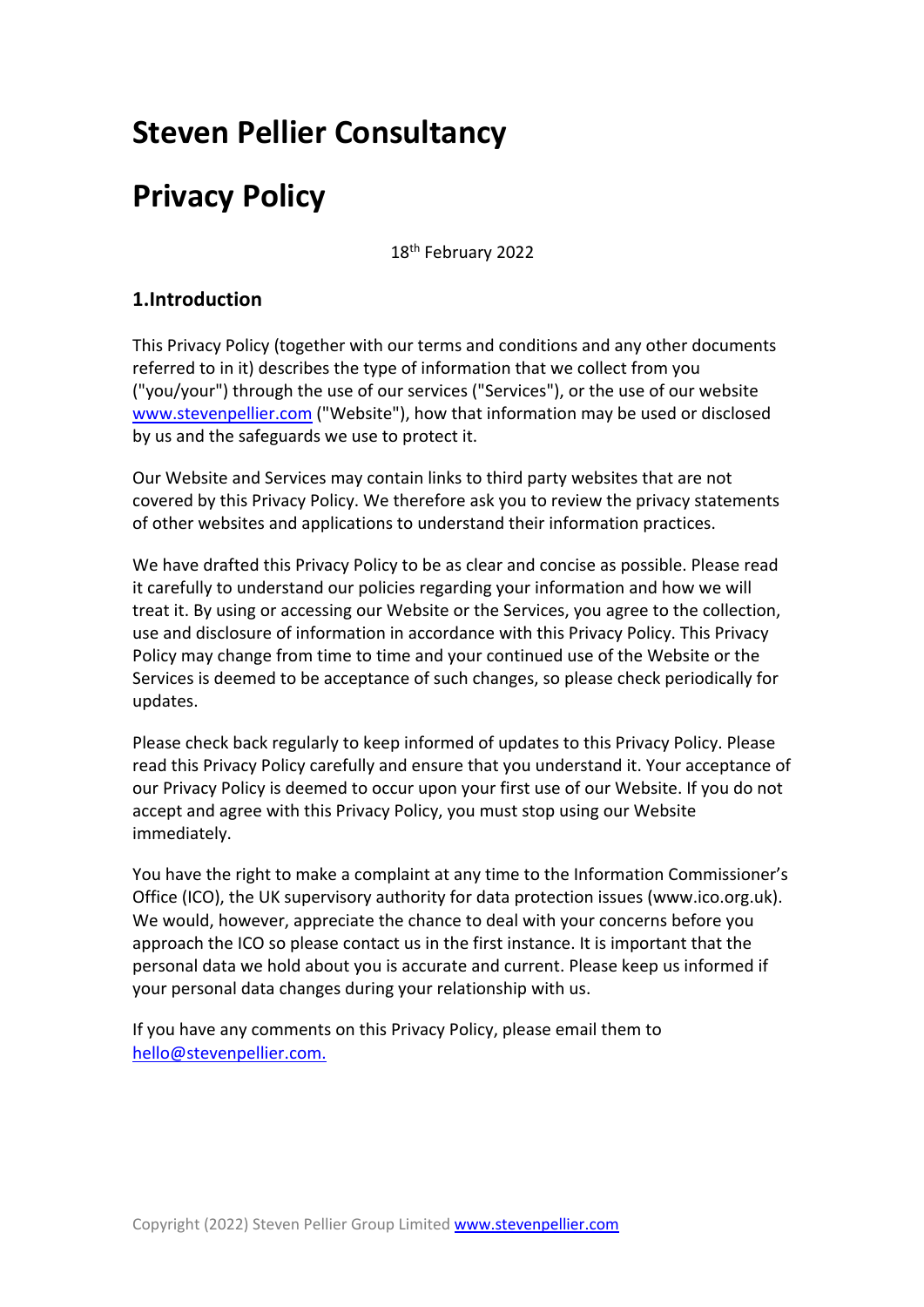## **Steven Pellier Consultancy**

# **Privacy Policy**

18th February 2022

## **1.Introduction**

This Privacy Policy (together with our terms and conditions and any other documents referred to in it) describes the type of information that we collect from you ("you/your") through the use of our services ("Services"), or the use of our website www.stevenpellier.com ("Website"), how that information may be used or disclosed by us and the safeguards we use to protect it.

Our Website and Services may contain links to third party websites that are not covered by this Privacy Policy. We therefore ask you to review the privacy statements of other websites and applications to understand their information practices.

We have drafted this Privacy Policy to be as clear and concise as possible. Please read it carefully to understand our policies regarding your information and how we will treat it. By using or accessing our Website or the Services, you agree to the collection, use and disclosure of information in accordance with this Privacy Policy. This Privacy Policy may change from time to time and your continued use of the Website or the Services is deemed to be acceptance of such changes, so please check periodically for updates.

Please check back regularly to keep informed of updates to this Privacy Policy. Please read this Privacy Policy carefully and ensure that you understand it. Your acceptance of our Privacy Policy is deemed to occur upon your first use of our Website. If you do not accept and agree with this Privacy Policy, you must stop using our Website immediately.

You have the right to make a complaint at any time to the Information Commissioner's Office (ICO), the UK supervisory authority for data protection issues (www.ico.org.uk). We would, however, appreciate the chance to deal with your concerns before you approach the ICO so please contact us in the first instance. It is important that the personal data we hold about you is accurate and current. Please keep us informed if your personal data changes during your relationship with us.

If you have any comments on this Privacy Policy, please email them to hello@stevenpellier.com.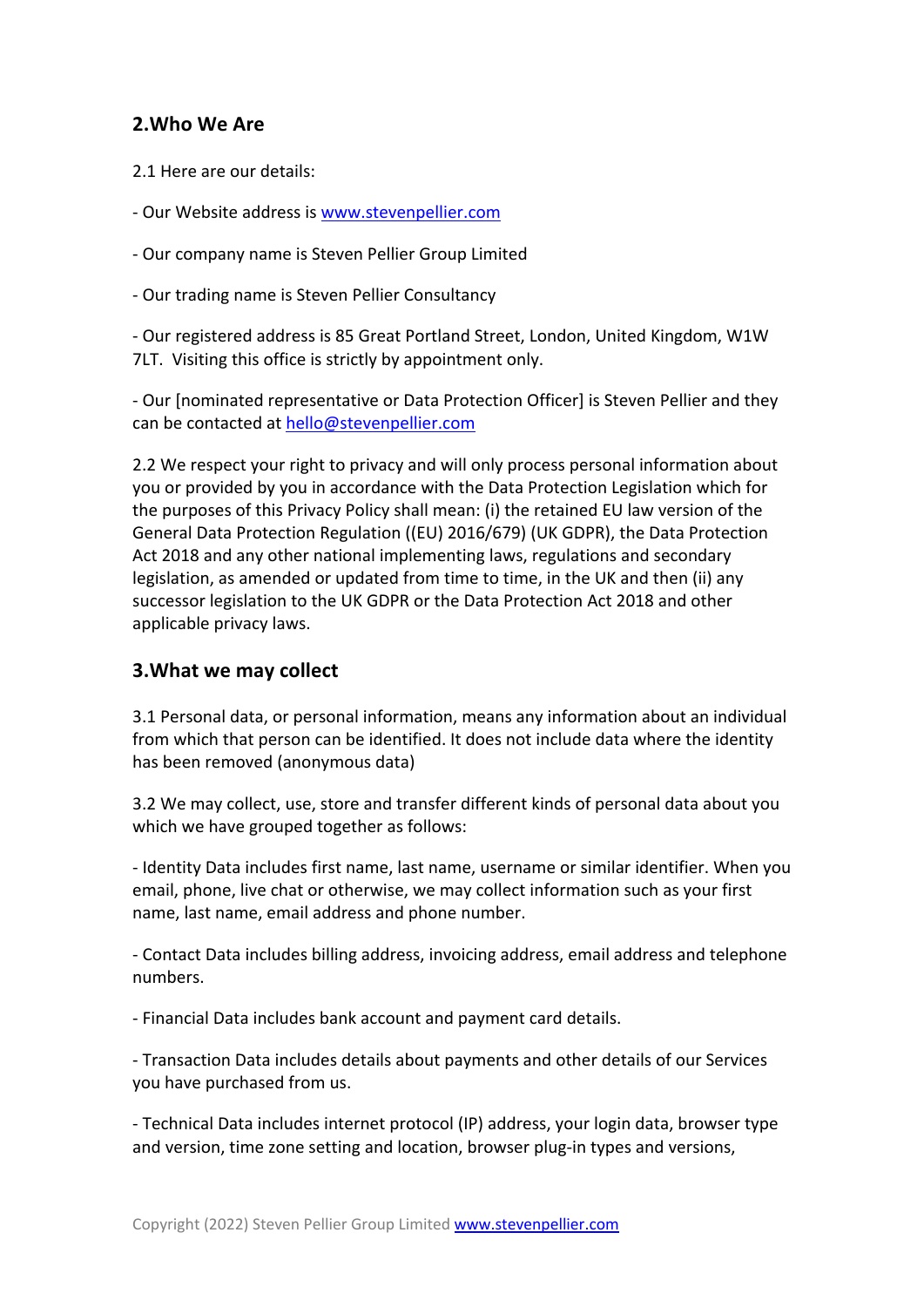## **2.Who We Are**

2.1 Here are our details:

- Our Website address is www.stevenpellier.com

- Our company name is Steven Pellier Group Limited

- Our trading name is Steven Pellier Consultancy

- Our registered address is 85 Great Portland Street, London, United Kingdom, W1W 7LT. Visiting this office is strictly by appointment only.

- Our [nominated representative or Data Protection Officer] is Steven Pellier and they can be contacted at hello@stevenpellier.com

2.2 We respect your right to privacy and will only process personal information about you or provided by you in accordance with the Data Protection Legislation which for the purposes of this Privacy Policy shall mean: (i) the retained EU law version of the General Data Protection Regulation ((EU) 2016/679) (UK GDPR), the Data Protection Act 2018 and any other national implementing laws, regulations and secondary legislation, as amended or updated from time to time, in the UK and then (ii) any successor legislation to the UK GDPR or the Data Protection Act 2018 and other applicable privacy laws.

## **3.What we may collect**

3.1 Personal data, or personal information, means any information about an individual from which that person can be identified. It does not include data where the identity has been removed (anonymous data)

3.2 We may collect, use, store and transfer different kinds of personal data about you which we have grouped together as follows:

- Identity Data includes first name, last name, username or similar identifier. When you email, phone, live chat or otherwise, we may collect information such as your first name, last name, email address and phone number.

- Contact Data includes billing address, invoicing address, email address and telephone numbers.

- Financial Data includes bank account and payment card details.

- Transaction Data includes details about payments and other details of our Services you have purchased from us.

- Technical Data includes internet protocol (IP) address, your login data, browser type and version, time zone setting and location, browser plug-in types and versions,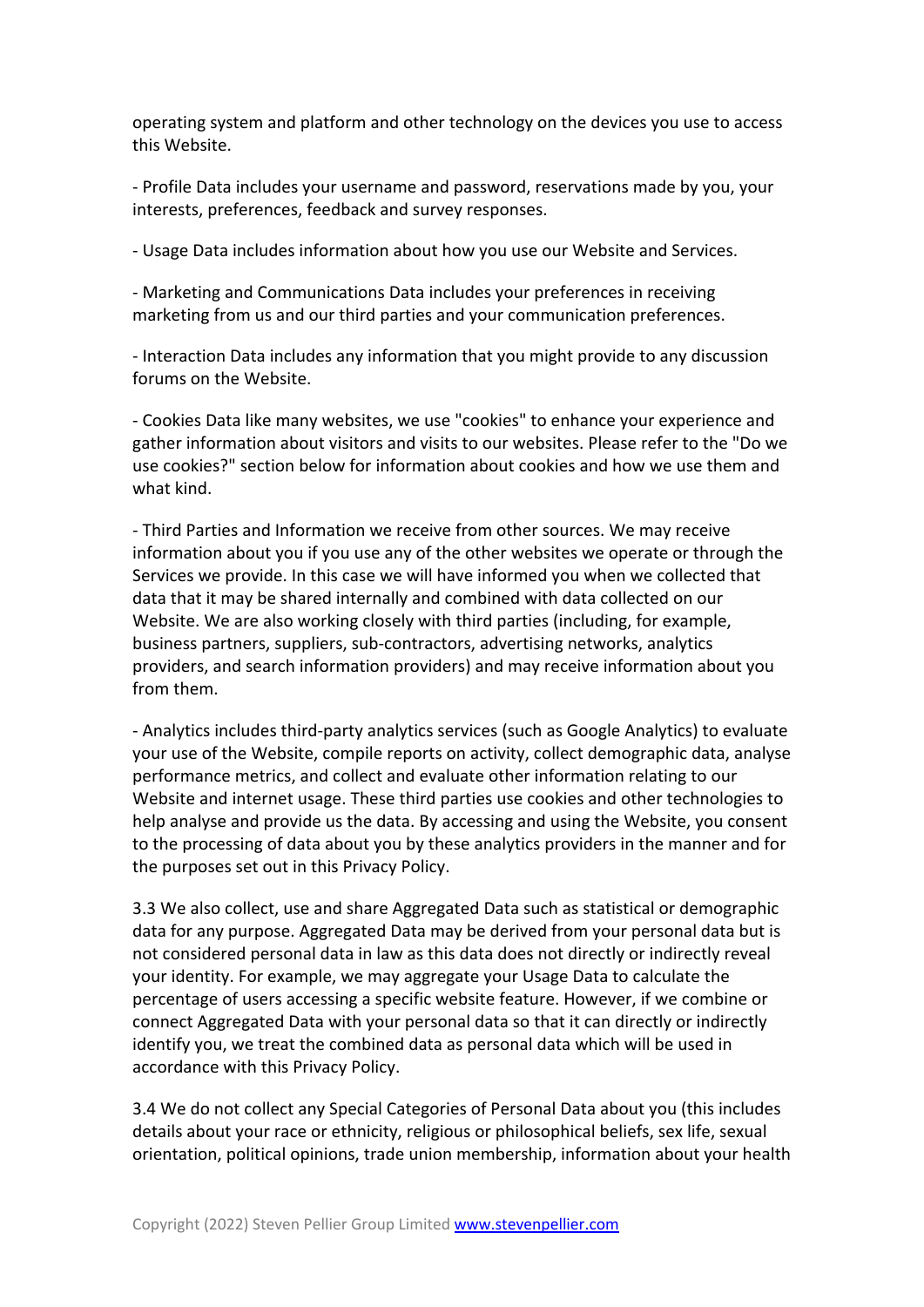operating system and platform and other technology on the devices you use to access this Website.

- Profile Data includes your username and password, reservations made by you, your interests, preferences, feedback and survey responses.

- Usage Data includes information about how you use our Website and Services.

- Marketing and Communications Data includes your preferences in receiving marketing from us and our third parties and your communication preferences.

- Interaction Data includes any information that you might provide to any discussion forums on the Website.

- Cookies Data like many websites, we use "cookies" to enhance your experience and gather information about visitors and visits to our websites. Please refer to the "Do we use cookies?" section below for information about cookies and how we use them and what kind.

- Third Parties and Information we receive from other sources. We may receive information about you if you use any of the other websites we operate or through the Services we provide. In this case we will have informed you when we collected that data that it may be shared internally and combined with data collected on our Website. We are also working closely with third parties (including, for example, business partners, suppliers, sub-contractors, advertising networks, analytics providers, and search information providers) and may receive information about you from them.

- Analytics includes third-party analytics services (such as Google Analytics) to evaluate your use of the Website, compile reports on activity, collect demographic data, analyse performance metrics, and collect and evaluate other information relating to our Website and internet usage. These third parties use cookies and other technologies to help analyse and provide us the data. By accessing and using the Website, you consent to the processing of data about you by these analytics providers in the manner and for the purposes set out in this Privacy Policy.

3.3 We also collect, use and share Aggregated Data such as statistical or demographic data for any purpose. Aggregated Data may be derived from your personal data but is not considered personal data in law as this data does not directly or indirectly reveal your identity. For example, we may aggregate your Usage Data to calculate the percentage of users accessing a specific website feature. However, if we combine or connect Aggregated Data with your personal data so that it can directly or indirectly identify you, we treat the combined data as personal data which will be used in accordance with this Privacy Policy.

3.4 We do not collect any Special Categories of Personal Data about you (this includes details about your race or ethnicity, religious or philosophical beliefs, sex life, sexual orientation, political opinions, trade union membership, information about your health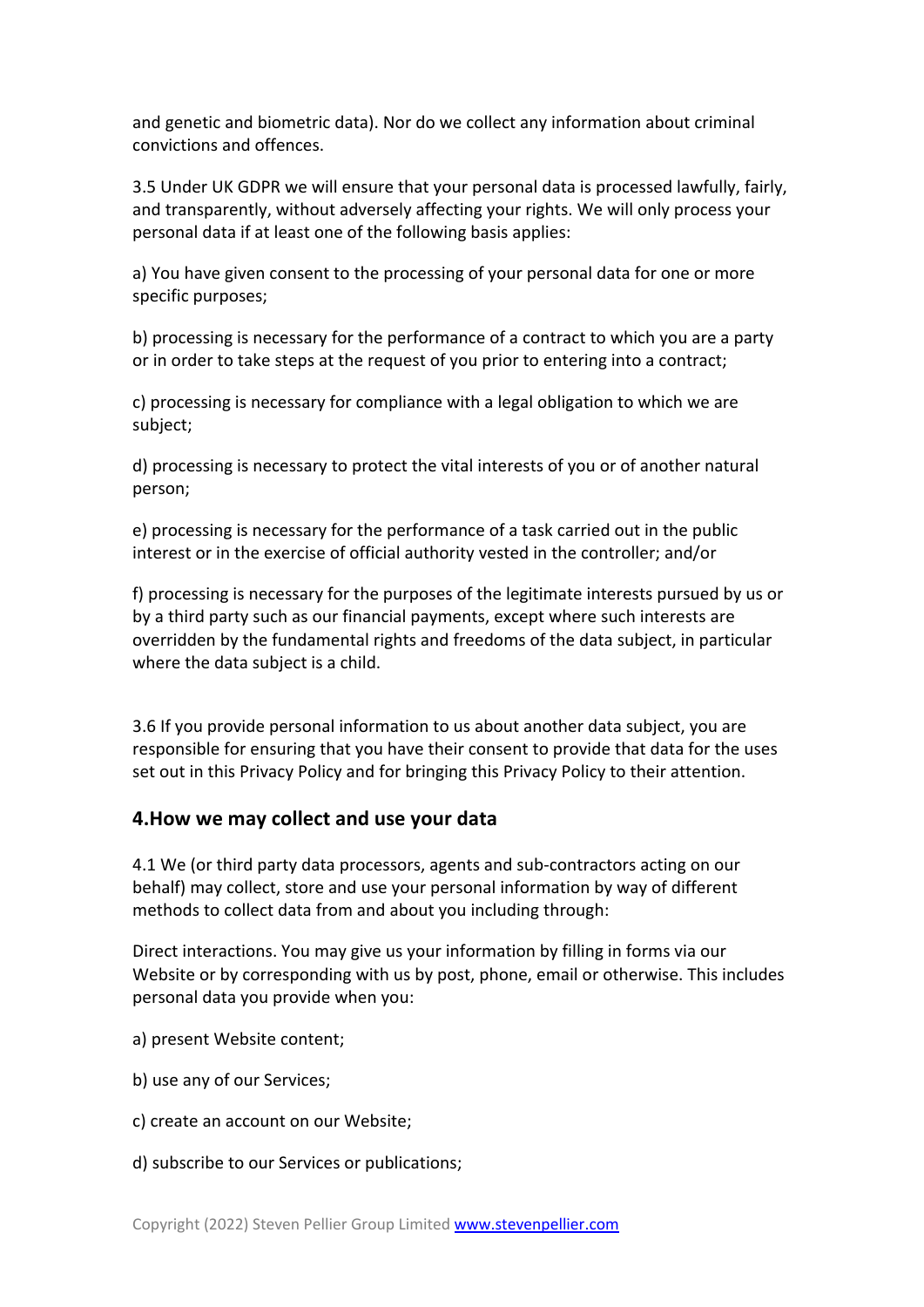and genetic and biometric data). Nor do we collect any information about criminal convictions and offences.

3.5 Under UK GDPR we will ensure that your personal data is processed lawfully, fairly, and transparently, without adversely affecting your rights. We will only process your personal data if at least one of the following basis applies:

a) You have given consent to the processing of your personal data for one or more specific purposes;

b) processing is necessary for the performance of a contract to which you are a party or in order to take steps at the request of you prior to entering into a contract;

c) processing is necessary for compliance with a legal obligation to which we are subject;

d) processing is necessary to protect the vital interests of you or of another natural person;

e) processing is necessary for the performance of a task carried out in the public interest or in the exercise of official authority vested in the controller; and/or

f) processing is necessary for the purposes of the legitimate interests pursued by us or by a third party such as our financial payments, except where such interests are overridden by the fundamental rights and freedoms of the data subject, in particular where the data subject is a child.

3.6 If you provide personal information to us about another data subject, you are responsible for ensuring that you have their consent to provide that data for the uses set out in this Privacy Policy and for bringing this Privacy Policy to their attention.

#### **4.How we may collect and use your data**

4.1 We (or third party data processors, agents and sub-contractors acting on our behalf) may collect, store and use your personal information by way of different methods to collect data from and about you including through:

Direct interactions. You may give us your information by filling in forms via our Website or by corresponding with us by post, phone, email or otherwise. This includes personal data you provide when you:

- a) present Website content;
- b) use any of our Services;
- c) create an account on our Website;
- d) subscribe to our Services or publications;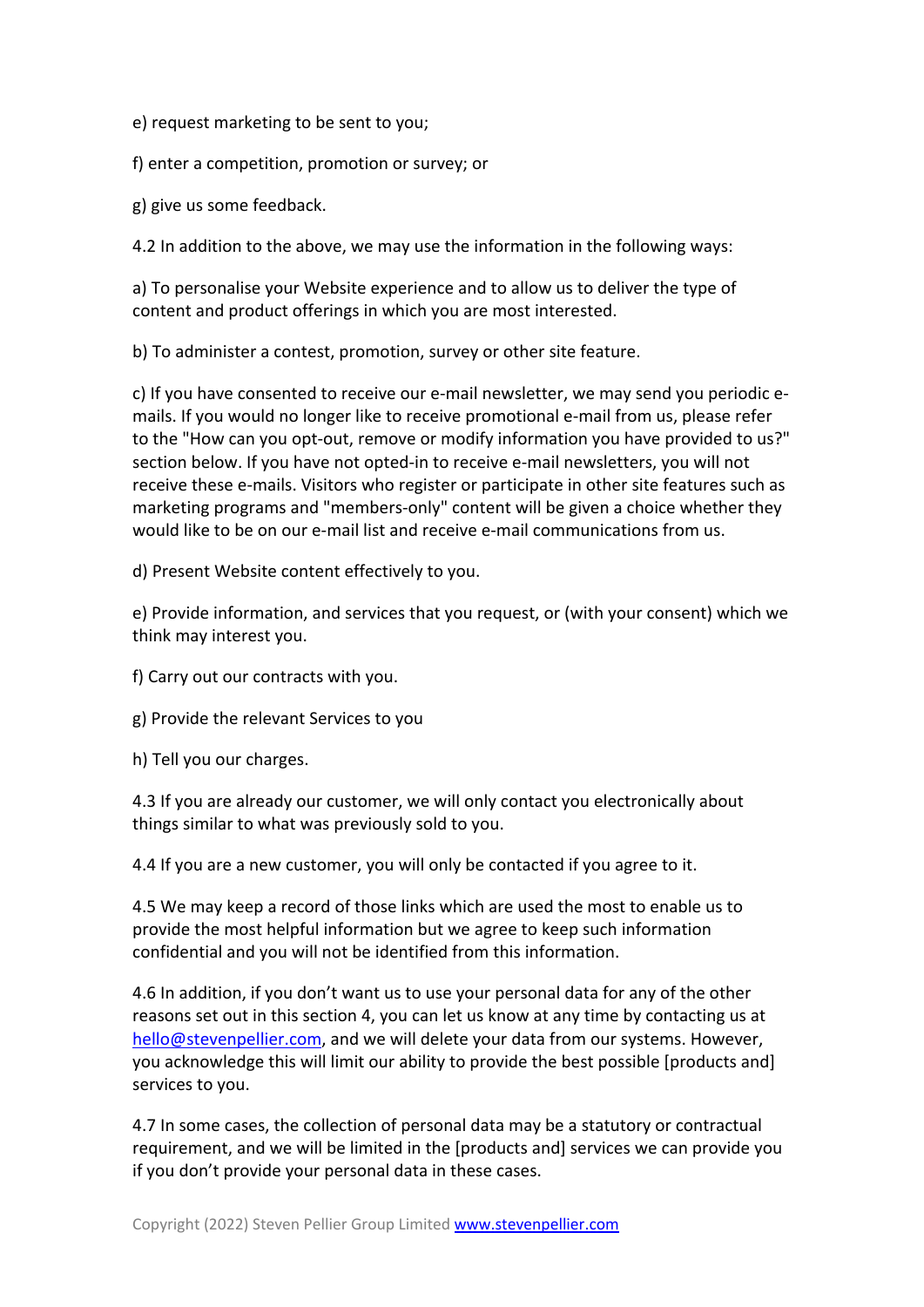e) request marketing to be sent to you;

f) enter a competition, promotion or survey; or

g) give us some feedback.

4.2 In addition to the above, we may use the information in the following ways:

a) To personalise your Website experience and to allow us to deliver the type of content and product offerings in which you are most interested.

b) To administer a contest, promotion, survey or other site feature.

c) If you have consented to receive our e-mail newsletter, we may send you periodic emails. If you would no longer like to receive promotional e-mail from us, please refer to the "How can you opt-out, remove or modify information you have provided to us?" section below. If you have not opted-in to receive e-mail newsletters, you will not receive these e-mails. Visitors who register or participate in other site features such as marketing programs and "members-only" content will be given a choice whether they would like to be on our e-mail list and receive e-mail communications from us.

d) Present Website content effectively to you.

e) Provide information, and services that you request, or (with your consent) which we think may interest you.

f) Carry out our contracts with you.

g) Provide the relevant Services to you

h) Tell you our charges.

4.3 If you are already our customer, we will only contact you electronically about things similar to what was previously sold to you.

4.4 If you are a new customer, you will only be contacted if you agree to it.

4.5 We may keep a record of those links which are used the most to enable us to provide the most helpful information but we agree to keep such information confidential and you will not be identified from this information.

4.6 In addition, if you don't want us to use your personal data for any of the other reasons set out in this section 4, you can let us know at any time by contacting us at hello@stevenpellier.com, and we will delete your data from our systems. However, you acknowledge this will limit our ability to provide the best possible [products and] services to you.

4.7 In some cases, the collection of personal data may be a statutory or contractual requirement, and we will be limited in the [products and] services we can provide you if you don't provide your personal data in these cases.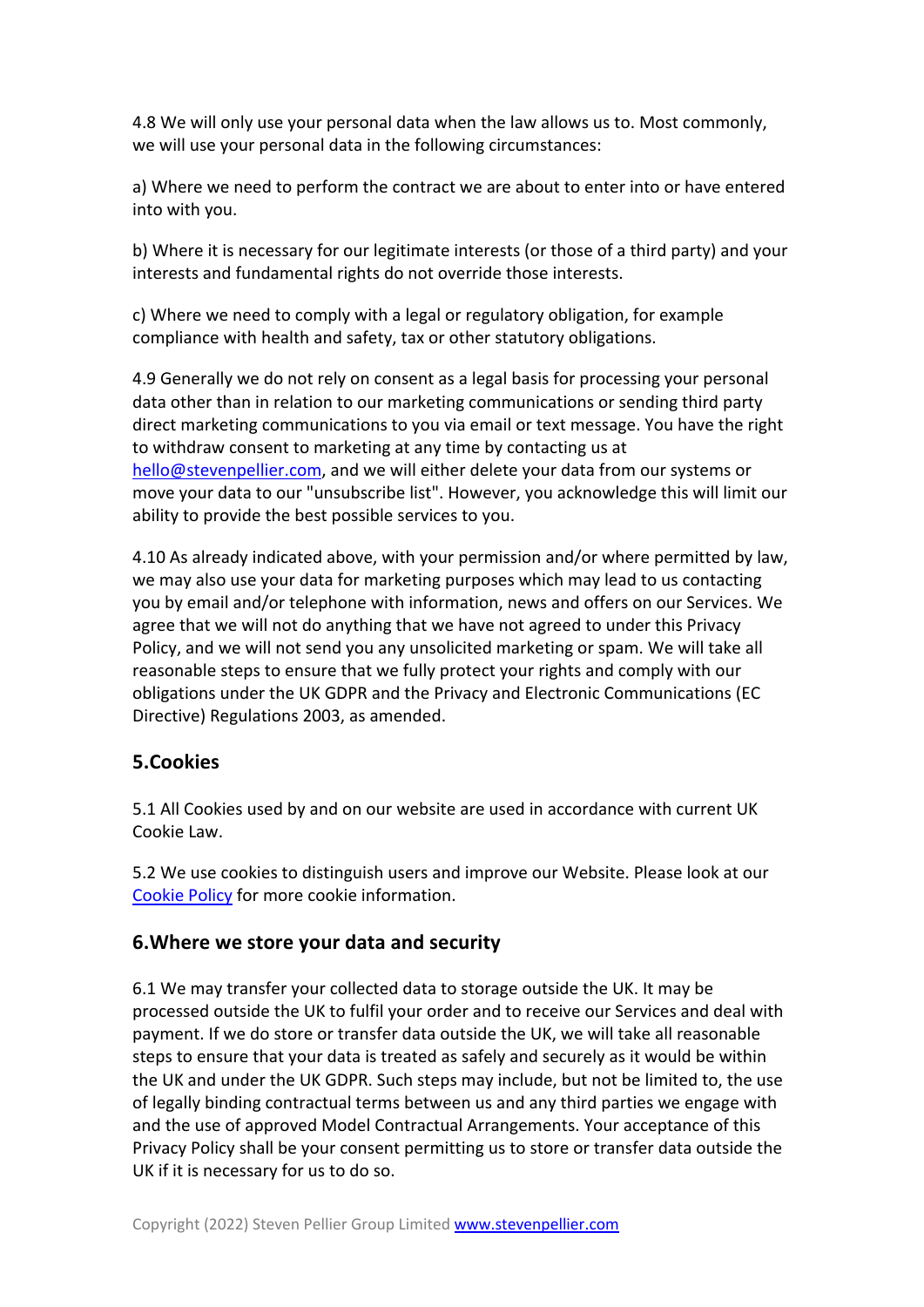4.8 We will only use your personal data when the law allows us to. Most commonly, we will use your personal data in the following circumstances:

a) Where we need to perform the contract we are about to enter into or have entered into with you.

b) Where it is necessary for our legitimate interests (or those of a third party) and your interests and fundamental rights do not override those interests.

c) Where we need to comply with a legal or regulatory obligation, for example compliance with health and safety, tax or other statutory obligations.

4.9 Generally we do not rely on consent as a legal basis for processing your personal data other than in relation to our marketing communications or sending third party direct marketing communications to you via email or text message. You have the right to withdraw consent to marketing at any time by contacting us at hello@stevenpellier.com, and we will either delete your data from our systems or move your data to our "unsubscribe list". However, you acknowledge this will limit our ability to provide the best possible services to you.

4.10 As already indicated above, with your permission and/or where permitted by law, we may also use your data for marketing purposes which may lead to us contacting you by email and/or telephone with information, news and offers on our Services. We agree that we will not do anything that we have not agreed to under this Privacy Policy, and we will not send you any unsolicited marketing or spam. We will take all reasonable steps to ensure that we fully protect your rights and comply with our obligations under the UK GDPR and the Privacy and Electronic Communications (EC Directive) Regulations 2003, as amended.

## **5.Cookies**

5.1 All Cookies used by and on our website are used in accordance with current UK Cookie Law.

5.2 We use cookies to distinguish users and improve our Website. Please look at our Cookie Policy for more cookie information.

## **6.Where we store your data and security**

6.1 We may transfer your collected data to storage outside the UK. It may be processed outside the UK to fulfil your order and to receive our Services and deal with payment. If we do store or transfer data outside the UK, we will take all reasonable steps to ensure that your data is treated as safely and securely as it would be within the UK and under the UK GDPR. Such steps may include, but not be limited to, the use of legally binding contractual terms between us and any third parties we engage with and the use of approved Model Contractual Arrangements. Your acceptance of this Privacy Policy shall be your consent permitting us to store or transfer data outside the UK if it is necessary for us to do so.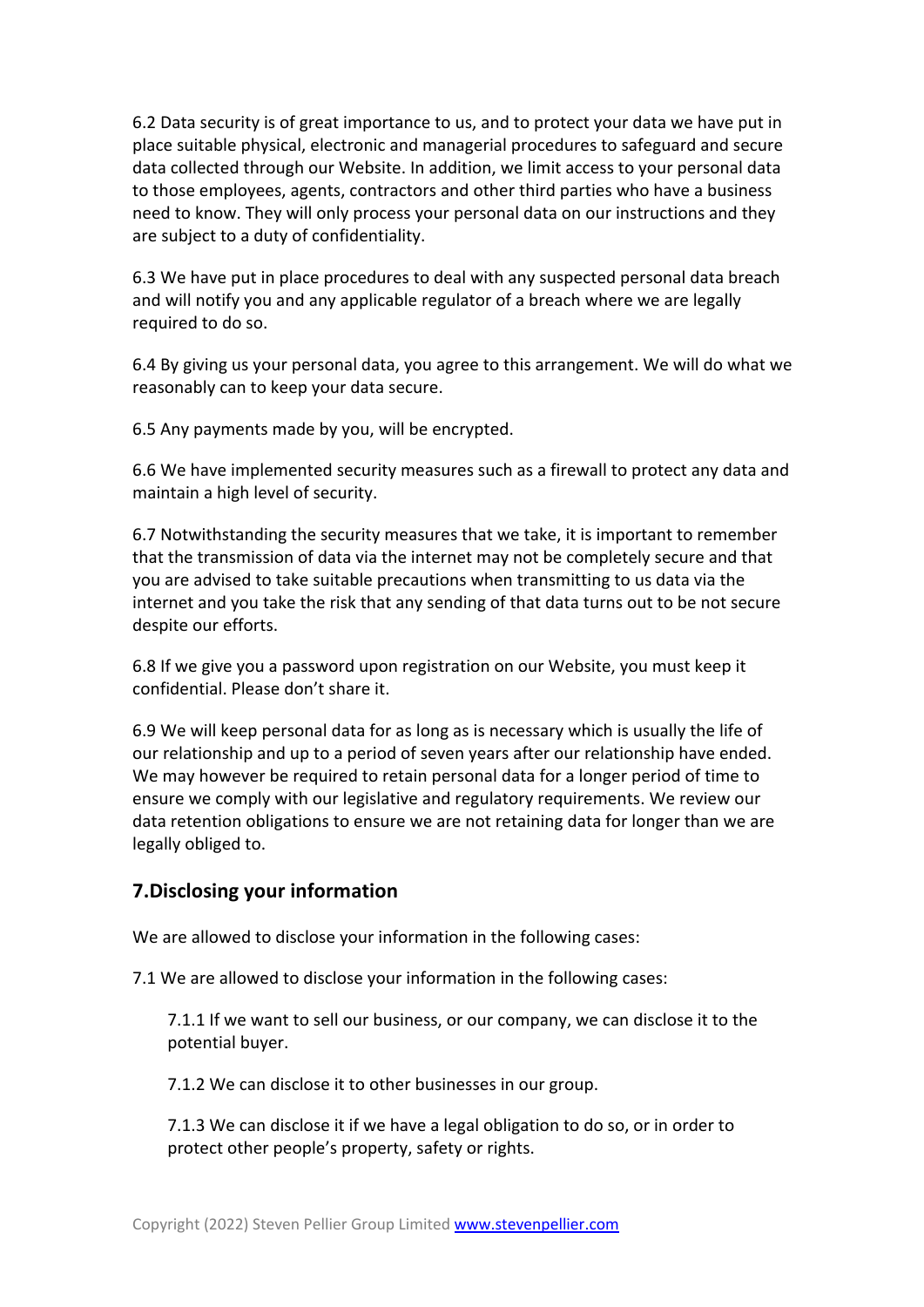6.2 Data security is of great importance to us, and to protect your data we have put in place suitable physical, electronic and managerial procedures to safeguard and secure data collected through our Website. In addition, we limit access to your personal data to those employees, agents, contractors and other third parties who have a business need to know. They will only process your personal data on our instructions and they are subject to a duty of confidentiality.

6.3 We have put in place procedures to deal with any suspected personal data breach and will notify you and any applicable regulator of a breach where we are legally required to do so.

6.4 By giving us your personal data, you agree to this arrangement. We will do what we reasonably can to keep your data secure.

6.5 Any payments made by you, will be encrypted.

6.6 We have implemented security measures such as a firewall to protect any data and maintain a high level of security.

6.7 Notwithstanding the security measures that we take, it is important to remember that the transmission of data via the internet may not be completely secure and that you are advised to take suitable precautions when transmitting to us data via the internet and you take the risk that any sending of that data turns out to be not secure despite our efforts.

6.8 If we give you a password upon registration on our Website, you must keep it confidential. Please don't share it.

6.9 We will keep personal data for as long as is necessary which is usually the life of our relationship and up to a period of seven years after our relationship have ended. We may however be required to retain personal data for a longer period of time to ensure we comply with our legislative and regulatory requirements. We review our data retention obligations to ensure we are not retaining data for longer than we are legally obliged to.

## **7.Disclosing your information**

We are allowed to disclose your information in the following cases:

7.1 We are allowed to disclose your information in the following cases:

7.1.1 If we want to sell our business, or our company, we can disclose it to the potential buyer.

7.1.2 We can disclose it to other businesses in our group.

7.1.3 We can disclose it if we have a legal obligation to do so, or in order to protect other people's property, safety or rights.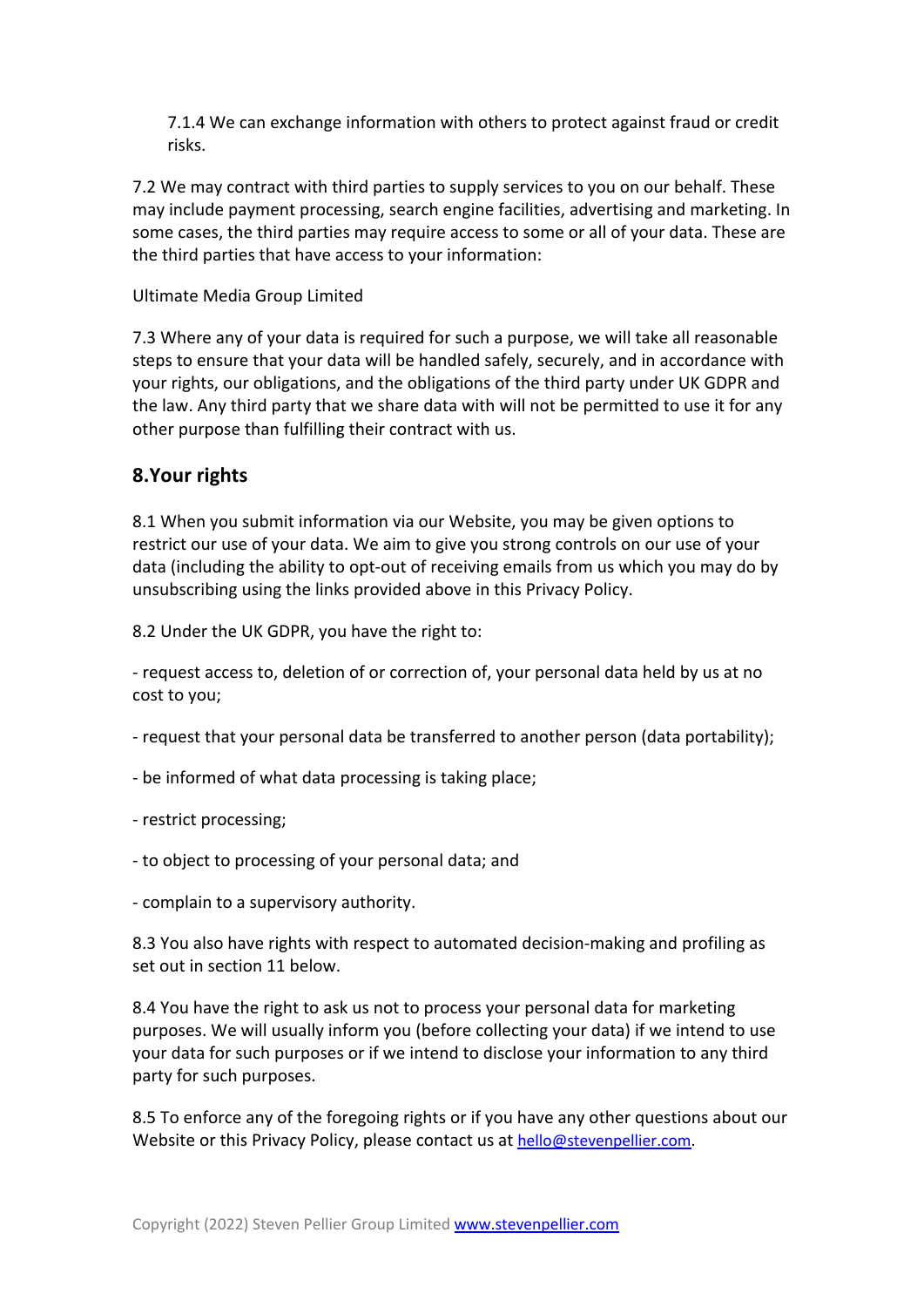7.1.4 We can exchange information with others to protect against fraud or credit risks.

7.2 We may contract with third parties to supply services to you on our behalf. These may include payment processing, search engine facilities, advertising and marketing. In some cases, the third parties may require access to some or all of your data. These are the third parties that have access to your information:

#### Ultimate Media Group Limited

7.3 Where any of your data is required for such a purpose, we will take all reasonable steps to ensure that your data will be handled safely, securely, and in accordance with your rights, our obligations, and the obligations of the third party under UK GDPR and the law. Any third party that we share data with will not be permitted to use it for any other purpose than fulfilling their contract with us.

#### **8.Your rights**

8.1 When you submit information via our Website, you may be given options to restrict our use of your data. We aim to give you strong controls on our use of your data (including the ability to opt-out of receiving emails from us which you may do by unsubscribing using the links provided above in this Privacy Policy.

8.2 Under the UK GDPR, you have the right to:

- request access to, deletion of or correction of, your personal data held by us at no cost to you;

- request that your personal data be transferred to another person (data portability);

- be informed of what data processing is taking place;
- restrict processing;
- to object to processing of your personal data; and
- complain to a supervisory authority.

8.3 You also have rights with respect to automated decision-making and profiling as set out in section 11 below.

8.4 You have the right to ask us not to process your personal data for marketing purposes. We will usually inform you (before collecting your data) if we intend to use your data for such purposes or if we intend to disclose your information to any third party for such purposes.

8.5 To enforce any of the foregoing rights or if you have any other questions about our Website or this Privacy Policy, please contact us at hello@stevenpellier.com.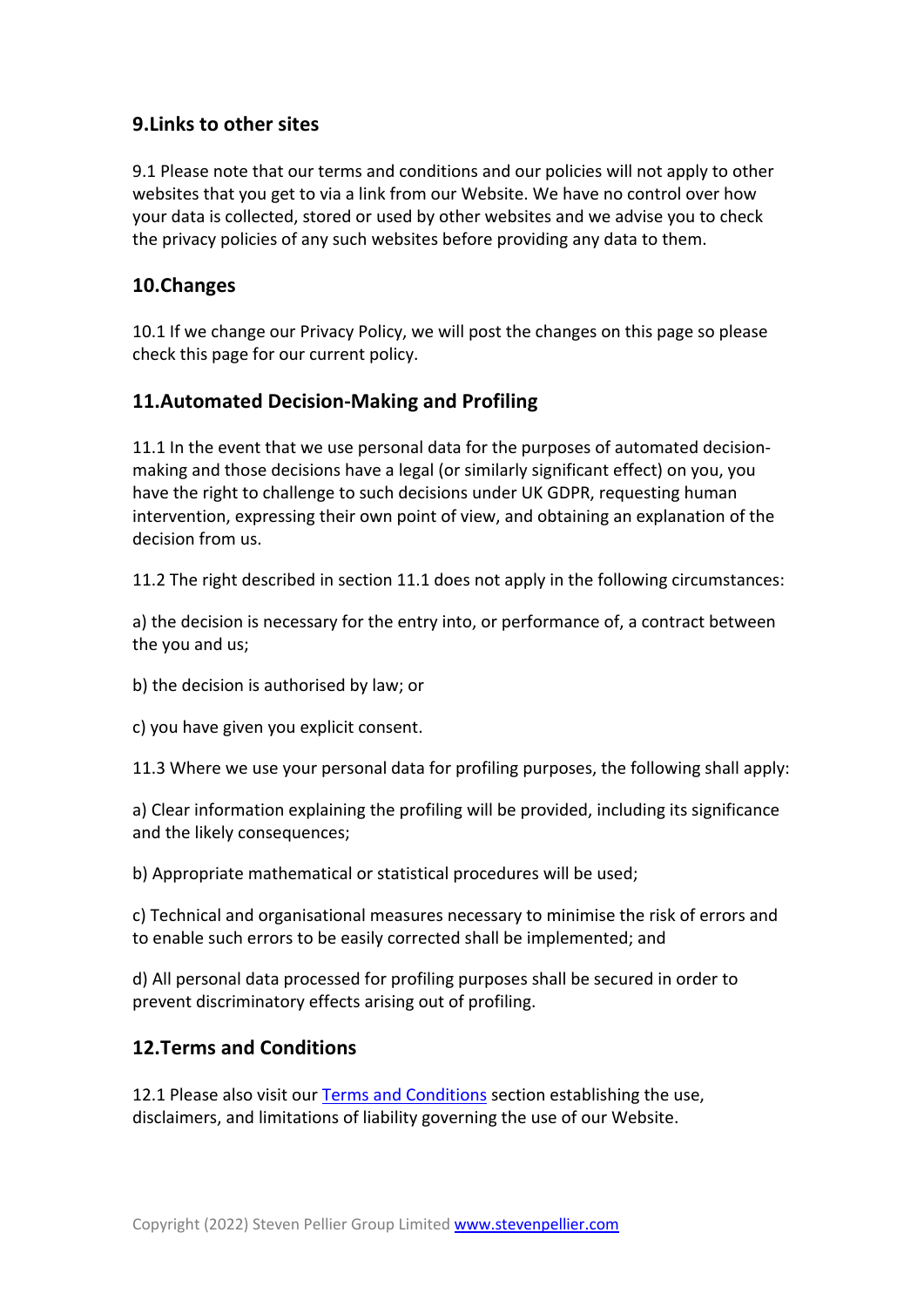## **9.Links to other sites**

9.1 Please note that our terms and conditions and our policies will not apply to other websites that you get to via a link from our Website. We have no control over how your data is collected, stored or used by other websites and we advise you to check the privacy policies of any such websites before providing any data to them.

## **10.Changes**

10.1 If we change our Privacy Policy, we will post the changes on this page so please check this page for our current policy.

## **11.Automated Decision-Making and Profiling**

11.1 In the event that we use personal data for the purposes of automated decisionmaking and those decisions have a legal (or similarly significant effect) on you, you have the right to challenge to such decisions under UK GDPR, requesting human intervention, expressing their own point of view, and obtaining an explanation of the decision from us.

11.2 The right described in section 11.1 does not apply in the following circumstances:

a) the decision is necessary for the entry into, or performance of, a contract between the you and us;

b) the decision is authorised by law; or

c) you have given you explicit consent.

11.3 Where we use your personal data for profiling purposes, the following shall apply:

a) Clear information explaining the profiling will be provided, including its significance and the likely consequences;

b) Appropriate mathematical or statistical procedures will be used;

c) Technical and organisational measures necessary to minimise the risk of errors and to enable such errors to be easily corrected shall be implemented; and

d) All personal data processed for profiling purposes shall be secured in order to prevent discriminatory effects arising out of profiling.

## **12.Terms and Conditions**

12.1 Please also visit our Terms and Conditions section establishing the use, disclaimers, and limitations of liability governing the use of our Website.